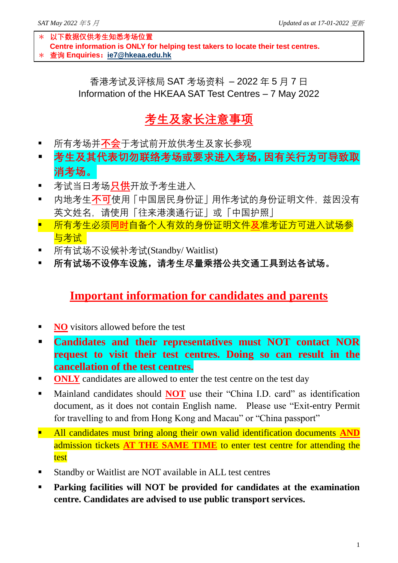- \* **以下数据仅供考生知悉考场位置 Centre information is ONLY for helping test takers to locate their test centres.**
- \* **查询 Enquiries:[ie7@hkeaa.edu.hk](mailto:ie7@hkeaa.edu.hk)**

香港考试及评核局 SAT 考场资料 – 2022 年 5 月 7 日 Information of the HKEAA SAT Test Centres – 7 May 2022

## **考生及家长注意事项**

- 所有考场并**不会**干考试前开放供考生及家长参观
- **考生及其代表切勿联络考场或要求进入考场,因有关行为可导致取 消考场。**
- 考试当日考场<mark>只供</mark>开放予考生进入
- 内地考生**不可**使用「中国居民身份证」用作考试的身份证明文件, 兹因没有 英文姓名,请使用「往来港澳通行证」或「中国护照」
- 所有考生必须**同时**自备个人有效的身份证明文件**及**准考证方可进入试场参 与考试
- 所有试场不设候补考试(Standby/ Waitlist)
- **所有试场不设停车设施,请考生尽量乘搭公共交通工具到达各试场。**

## **Important information for candidates and parents**

- **NO** visitors allowed before the test
- **Candidates and their representatives must NOT contact NOR request to visit their test centres. Doing so can result in the cancellation of the test centres.**
- **ONLY** candidates are allowed to enter the test centre on the test day
- Mainland candidates should **NOT** use their "China I.D. card" as identification document, as it does not contain English name. Please use "Exit-entry Permit for travelling to and from Hong Kong and Macau" or "China passport"
- **E** All candidates must bring along their own valid identification documents AND admission tickets **AT THE SAME TIME** to enter test centre for attending the test
- Standby or Waitlist are NOT available in ALL test centres
- **Parking facilities will NOT be provided for candidates at the examination centre. Candidates are advised to use public transport services.**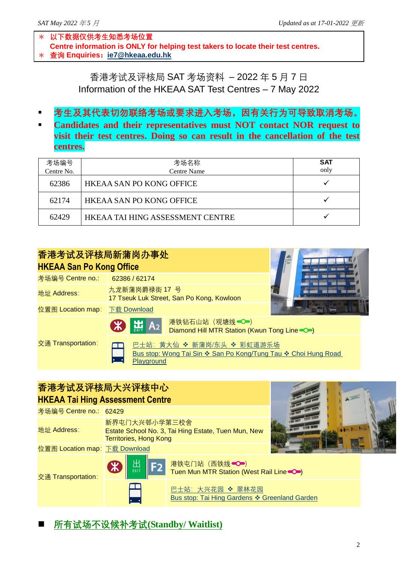- \* **以下数据仅供考生知悉考场位置 Centre information is ONLY for helping test takers to locate their test centres.**
- \* **查询 Enquiries:[ie7@hkeaa.edu.hk](mailto:ie7@hkeaa.edu.hk)**

香港考试及评核局 SAT 考场资料 – 2022 年 5 月 7 日 Information of the HKEAA SAT Test Centres – 7 May 2022

- 者生及其代表切勿联络考场或要求进入考场,因有关行为可导致取消考场。
- **Candidates and their representatives must NOT contact NOR request to visit their test centres. Doing so can result in the cancellation of the test centres.**

| 考场编号       | 考场名称                             | <b>SAT</b><br>only |
|------------|----------------------------------|--------------------|
| Centre No. | <b>Centre Name</b>               |                    |
| 62386      | <b>HKEAA SAN PO KONG OFFICE</b>  |                    |
| 62174      | HKEAA SAN PO KONG OFFICE         |                    |
| 62429      | HKEAA TAI HING ASSESSMENT CENTRE |                    |

| 香港考试及评核局新蒲岗办事处<br><b>HKEAA San Po Kong Office</b> |                                                                                                            |  |
|---------------------------------------------------|------------------------------------------------------------------------------------------------------------|--|
| 考场编号 Centre no.:                                  | 14 19 19 19 19 19<br>62386 / 62174                                                                         |  |
| 地址 Address:                                       | 九龙新蒲岗爵禄街 17 号<br>17 Tseuk Luk Street, San Po Kong, Kowloon                                                 |  |
| 位置图 Location map: 下载 Download                     |                                                                                                            |  |
|                                                   | 港铁钻石山站(观塘线●●)<br>$\mathcal{R}$ $\mathcal{H}$ $A_2$<br>Diamond Hill MTR Station (Kwun Tong Line $\bullet$ ) |  |
| 交通 Transportation:                                | 巴士站:黄大仙 ❖ 新蒲岗/东头 ❖ 彩虹道游乐场<br>Bus stop: Wong Tai Sin ❖ San Po Kong/Tung Tau ❖ Choi Hung Road<br>Playground  |  |

## **香港考试及评核局大兴评核中心 HKEAA Tai Hing Assessment Centre** 考场编号 Centre no.: 62429 地址 Address: 新界屯门大兴邨小学第三校舍 Estate School No. 3, Tai Hing Estate, Tuen Mun, New Territories, Hong Kong 位置图 Location map: 下载 [Download](https://goo.gl/maps/1Gn4YEjdY8jFV3eP8) 交通 Transportation: 出**EXIT** 港铁屯门站(西铁线 O) Tuen Mun MTR Station (West Rail Line<br/>
<a>>
<a>
<a>
Mun MTR Station (West Rail Line<br/></>
<a>
Mun MTR Station (West Rail Line<br/></>
<a>
Mun MTR Station (West Rail Line<br/></>
<a>
Mun MTR Station (West Rail Line<br/ 巴士站: 大兴花园 ❖ 翠林花园 [Bus stop: Tai Hing Gardens](http://www.kmb.com.hk/tc/services/search.html) ❖ Greenland Garden

◼ **所有试场不设候补考试(Standby/ Waitlist)**